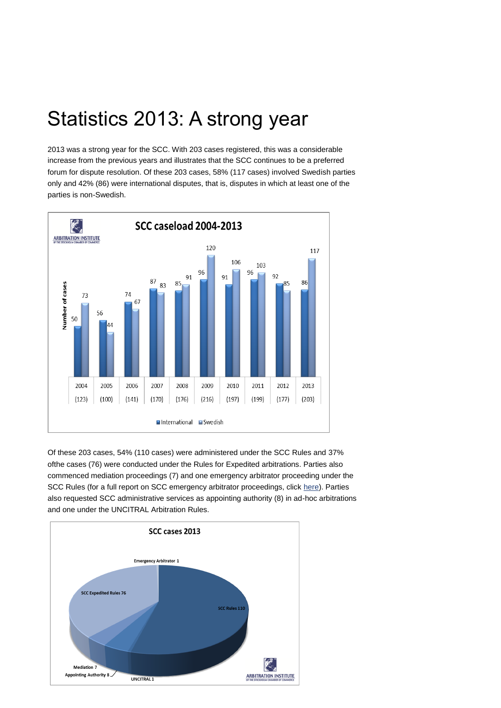## Statistics 2013: A strong year

2013 was a strong year for the SCC. With 203 cases registered, this was a considerable increase from the previous years and illustrates that the SCC continues to be a preferred forum for dispute resolution. Of these 203 cases, 58% (117 cases) involved Swedish parties only and 42% (86) were international disputes, that is, disputes in which at least one of the parties is non-Swedish.



Of these 203 cases, 54% (110 cases) were administered under the SCC Rules and 37% ofthe cases (76) were conducted under the Rules for Expedited arbitrations. Parties also commenced mediation proceedings (7) and one emergency arbitrator proceeding under the SCC Rules (for a full report on SCC emergency arbitrator proceedings, click [here\)](http://www.sccinstitute.com/filearchive/4/46698/SCC%20practice%202010%20-%202013%20emergency%20arbitrator_FINAL.pdf). Parties also requested SCC administrative services as appointing authority (8) in ad-hoc arbitrations and one under the UNCITRAL Arbitration Rules.